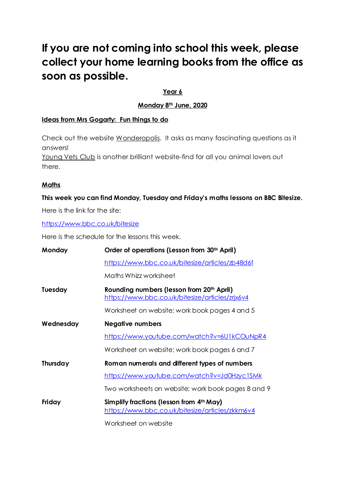## **If you are not coming into school this week, please collect your home learning books from the office as soon as possible.**

#### **Year 6**

#### **Monday 8 th June, 2020**

#### **Ideas from Mrs Gogarty: Fun things to do**

Check out the website [Wonderopolis.](https://www.wonderopolis.org/) It asks as many fascinating questions as it answers!

[Young](https://www.youngvetsclub.com/) Vets Club is another brilliant website-find for all you animal lovers out there.

#### **Maths**

# **This week you can find Monday, Tuesday and Friday's maths lessons on BBC Bitesize.**

Here is the link for the site:

<https://www.bbc.co.uk/bitesize>

Here is the schedule for the lessons this week.

| Monday         | Order of operations (Lesson from 30 <sup>th</sup> April)                                                 |
|----------------|----------------------------------------------------------------------------------------------------------|
|                | https://www.bbc.co.uk/bitesize/articles/zb48d6f                                                          |
|                | Maths Whizz worksheet                                                                                    |
| <b>Tuesday</b> | Rounding numbers (lesson from 20 <sup>th</sup> April)<br>https://www.bbc.co.uk/bitesize/articles/zrjx6v4 |
|                | Worksheet on website; work book pages 4 and 5                                                            |
| Wednesday      | <b>Negative numbers</b>                                                                                  |
|                | https://www.youtube.com/watch?v=6U1kCOuNpR4                                                              |
|                | Worksheet on website; work book pages 6 and 7                                                            |
| Thursday       | Roman numerals and different types of numbers                                                            |
|                | https://www.youtube.com/watch?v=Jd0Hzyc1SMk                                                              |
|                | Two worksheets on website; work book pages 8 and 9                                                       |
| Friday         | Simplify fractions (lesson from 4 <sup>th</sup> May)<br>https://www.bbc.co.uk/bitesize/articles/zkkm6v4  |
|                | Worksheet on website                                                                                     |